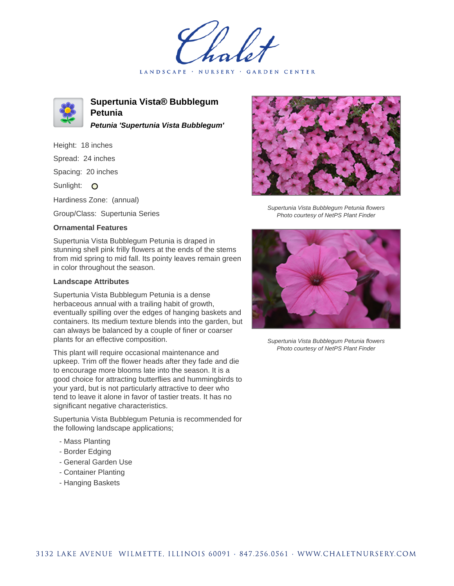LANDSCAPE · NURSERY · GARDEN CENTER



**Supertunia Vista® Bubblegum Petunia Petunia 'Supertunia Vista Bubblegum'**

Height: 18 inches Spread: 24 inches Spacing: 20 inches Sunlight: O Hardiness Zone: (annual)

Group/Class: Supertunia Series

## **Ornamental Features**

Supertunia Vista Bubblegum Petunia is draped in stunning shell pink frilly flowers at the ends of the stems from mid spring to mid fall. Its pointy leaves remain green in color throughout the season.

## **Landscape Attributes**

Supertunia Vista Bubblegum Petunia is a dense herbaceous annual with a trailing habit of growth, eventually spilling over the edges of hanging baskets and containers. Its medium texture blends into the garden, but can always be balanced by a couple of finer or coarser plants for an effective composition.

This plant will require occasional maintenance and upkeep. Trim off the flower heads after they fade and die to encourage more blooms late into the season. It is a good choice for attracting butterflies and hummingbirds to your yard, but is not particularly attractive to deer who tend to leave it alone in favor of tastier treats. It has no significant negative characteristics.

Supertunia Vista Bubblegum Petunia is recommended for the following landscape applications;

- Mass Planting
- Border Edging
- General Garden Use
- Container Planting
- Hanging Baskets



Supertunia Vista Bubblegum Petunia flowers Photo courtesy of NetPS Plant Finder



Supertunia Vista Bubblegum Petunia flowers Photo courtesy of NetPS Plant Finder